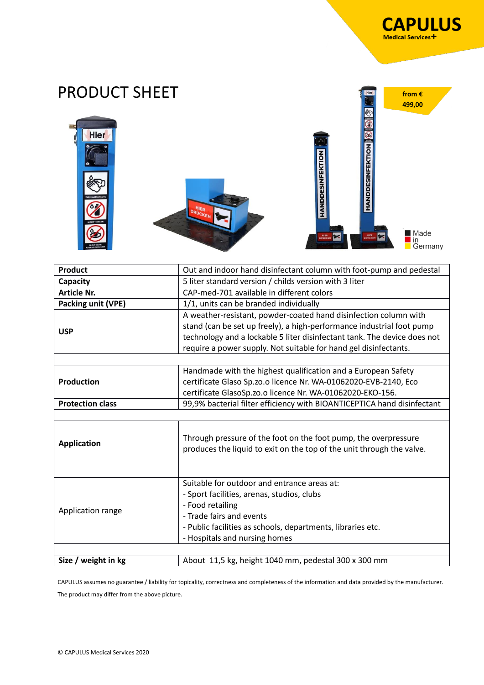**from €** 

Hier





| <b>Product</b>          | Out and indoor hand disinfectant column with foot-pump and pedestal                                                                                                                                                                                                                       |
|-------------------------|-------------------------------------------------------------------------------------------------------------------------------------------------------------------------------------------------------------------------------------------------------------------------------------------|
| Capacity                | 5 liter standard version / childs version with 3 liter                                                                                                                                                                                                                                    |
| <b>Article Nr.</b>      | CAP-med-701 available in different colors                                                                                                                                                                                                                                                 |
| Packing unit (VPE)      | 1/1, units can be branded individually                                                                                                                                                                                                                                                    |
| <b>USP</b>              | A weather-resistant, powder-coated hand disinfection column with<br>stand (can be set up freely), a high-performance industrial foot pump<br>technology and a lockable 5 liter disinfectant tank. The device does not<br>require a power supply. Not suitable for hand gel disinfectants. |
|                         |                                                                                                                                                                                                                                                                                           |
| <b>Production</b>       | Handmade with the highest qualification and a European Safety<br>certificate Glaso Sp.zo.o licence Nr. WA-01062020-EVB-2140, Eco                                                                                                                                                          |
|                         | certificate GlasoSp.zo.o licence Nr. WA-01062020-EKO-156.                                                                                                                                                                                                                                 |
| <b>Protection class</b> | 99,9% bacterial filter efficiency with BIOANTICEPTICA hand disinfectant                                                                                                                                                                                                                   |
|                         |                                                                                                                                                                                                                                                                                           |
| <b>Application</b>      | Through pressure of the foot on the foot pump, the overpressure<br>produces the liquid to exit on the top of the unit through the valve.                                                                                                                                                  |
|                         |                                                                                                                                                                                                                                                                                           |
|                         | Suitable for outdoor and entrance areas at:                                                                                                                                                                                                                                               |
| Application range       | - Sport facilities, arenas, studios, clubs                                                                                                                                                                                                                                                |
|                         | - Food retailing                                                                                                                                                                                                                                                                          |
|                         | - Trade fairs and events                                                                                                                                                                                                                                                                  |
|                         | - Public facilities as schools, departments, libraries etc.                                                                                                                                                                                                                               |
|                         | - Hospitals and nursing homes                                                                                                                                                                                                                                                             |
|                         |                                                                                                                                                                                                                                                                                           |
| Size / weight in kg     | About 11,5 kg, height 1040 mm, pedestal 300 x 300 mm                                                                                                                                                                                                                                      |

CAPULUS assumes no guarantee / liability for topicality, correctness and completeness of the information and data provided by the manufacturer. The product may differ from the above picture.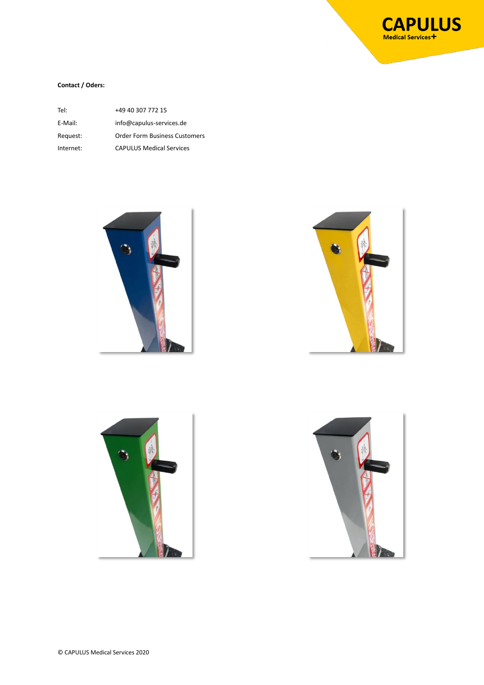

## **Contact / Oders:**

| Tel:      | +49 40 307 772 15                    |
|-----------|--------------------------------------|
| E-Mail:   | info@capulus-services.de             |
| Request:  | <b>Order Form Business Customers</b> |
| Internet: | <b>CAPULUS Medical Services</b>      |